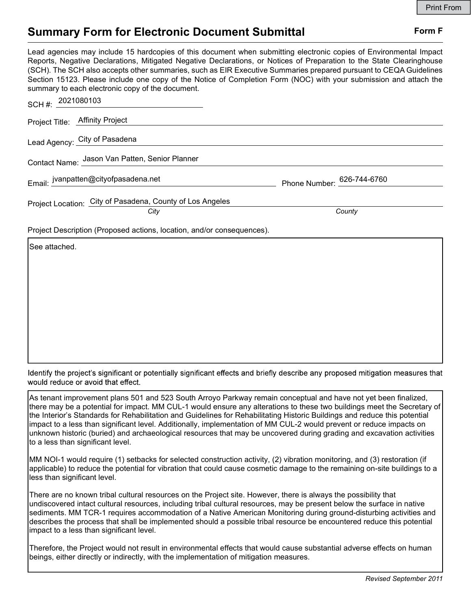## Summary Form for Electronic Document Submittal Form F

Lead agencies may include 15 hardcopies of this document when submitting electronic copies of Environmental Impact Reports, Negative Declarations, Mitigated Negative Declarations, or Notices of Preparation to the State Clearinghouse (SCH). The SCH also accepts other summaries, such as EIR Executive Summaries prepared pursuant to CEQA Guidelines Section 15123. Please include one copy of the Notice of Completion Form (NOC) with your submission and attach the summary to each electronic copy of the document.

| SCH #: $2021080103$                                                    |                            |
|------------------------------------------------------------------------|----------------------------|
| Project Title: Affinity Project                                        |                            |
| Lead Agency: City of Pasadena                                          |                            |
| Contact Name: Jason Van Patten, Senior Planner                         |                            |
| Email: jvanpatten@cityofpasadena.net                                   | Phone Number: 626-744-6760 |
| Project Location: City of Pasadena, County of Los Angeles<br>City      | County                     |
| Project Description (Proposed actions, location, and/or consequences). |                            |
| ISee attached.                                                         |                            |

Identify the project's significant or potentially significant effects and briefly describe any proposed mitigation measures that would reduce or avoid that effect.

As tenant improvement plans 501 and 523 South Arroyo Parkway remain conceptual and have not yet been finalized, there may be a potential for impact. MM CUL-1 would ensure any alterations to these two buildings meet the Secretary of the Interior's Standards for Rehabilitation and Guidelines for Rehabilitating Historic Buildings and reduce this potential impact to a less than significant level. Additionally, implementation of MM CUL-2 would prevent or reduce impacts on unknown historic (buried) and archaeological resources that may be uncovered during grading and excavation activities to a less than significant level.

MM NOI-1 would require (1) setbacks for selected construction activity, (2) vibration monitoring, and (3) restoration (if applicable) to reduce the potential for vibration that could cause cosmetic damage to the remaining on-site buildings to a less than significant level.

There are no known tribal cultural resources on the Project site. However, there is always the possibility that undiscovered intact cultural resources, including tribal cultural resources, may be present below the surface in native sediments. MM TCR-1 requires accommodation of a Native American Monitoring during ground-disturbing activities and describes the process that shall be implemented should a possible tribal resource be encountered reduce this potential impact to a less than significant level.

Therefore, the Project would not result in environmental effects that would cause substantial adverse effects on human beings, either directly or indirectly, with the implementation of mitigation measures.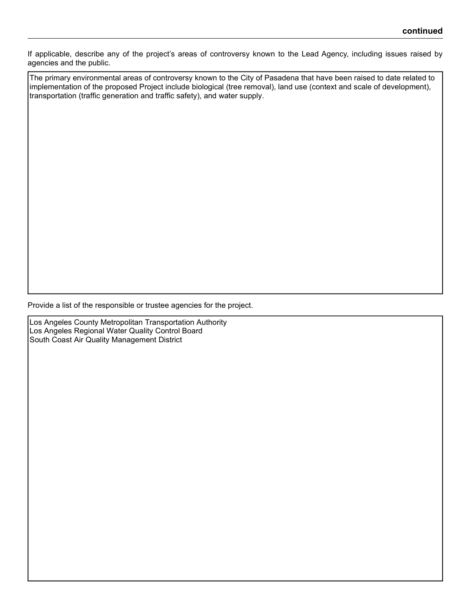If applicable, describe any of the project's areas of controversy known to the Lead Agency, including issues raised by agencies and the public.

The primary environmental areas of controversy known to the City of Pasadena that have been raised to date related to implementation of the proposed Project include biological (tree removal), land use (context and scale of development), transportation (traffic generation and traffic safety), and water supply.

Provide a list of the responsible or trustee agencies for the project.

Los Angeles County Metropolitan Transportation Authority Los Angeles Regional Water Quality Control Board South Coast Air Quality Management District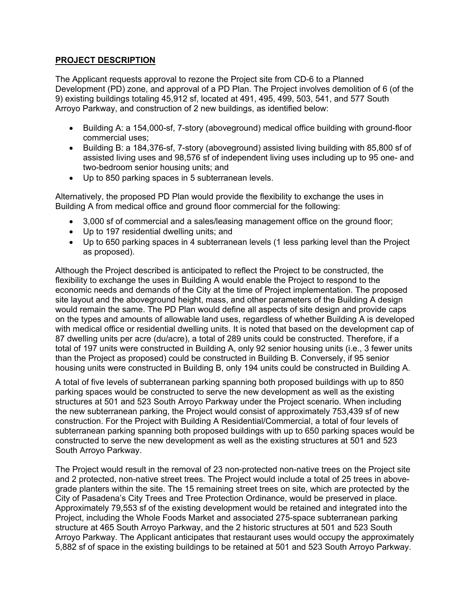## **PROJECT DESCRIPTION**

The Applicant requests approval to rezone the Project site from CD-6 to a Planned Development (PD) zone, and approval of a PD Plan. The Project involves demolition of 6 (of the 9) existing buildings totaling 45,912 sf, located at 491, 495, 499, 503, 541, and 577 South Arroyo Parkway, and construction of 2 new buildings, as identified below:

- Building A: a 154,000-sf, 7-story (aboveground) medical office building with ground-floor commercial uses;
- Building B: a 184,376-sf, 7-story (aboveground) assisted living building with 85,800 sf of assisted living uses and 98,576 sf of independent living uses including up to 95 one- and two-bedroom senior housing units; and
- Up to 850 parking spaces in 5 subterranean levels.

Alternatively, the proposed PD Plan would provide the flexibility to exchange the uses in Building A from medical office and ground floor commercial for the following:

- 3,000 sf of commercial and a sales/leasing management office on the ground floor;
- Up to 197 residential dwelling units; and
- Up to 650 parking spaces in 4 subterranean levels (1 less parking level than the Project as proposed).

Although the Project described is anticipated to reflect the Project to be constructed, the flexibility to exchange the uses in Building A would enable the Project to respond to the economic needs and demands of the City at the time of Project implementation. The proposed site layout and the aboveground height, mass, and other parameters of the Building A design would remain the same. The PD Plan would define all aspects of site design and provide caps on the types and amounts of allowable land uses, regardless of whether Building A is developed with medical office or residential dwelling units. It is noted that based on the development cap of 87 dwelling units per acre (du/acre), a total of 289 units could be constructed. Therefore, if a total of 197 units were constructed in Building A, only 92 senior housing units (i.e., 3 fewer units than the Project as proposed) could be constructed in Building B. Conversely, if 95 senior housing units were constructed in Building B, only 194 units could be constructed in Building A.

A total of five levels of subterranean parking spanning both proposed buildings with up to 850 parking spaces would be constructed to serve the new development as well as the existing structures at 501 and 523 South Arroyo Parkway under the Project scenario. When including the new subterranean parking, the Project would consist of approximately 753,439 sf of new construction. For the Project with Building A Residential/Commercial, a total of four levels of subterranean parking spanning both proposed buildings with up to 650 parking spaces would be constructed to serve the new development as well as the existing structures at 501 and 523 South Arroyo Parkway.

The Project would result in the removal of 23 non-protected non-native trees on the Project site and 2 protected, non-native street trees. The Project would include a total of 25 trees in abovegrade planters within the site. The 15 remaining street trees on site, which are protected by the City of Pasadena's City Trees and Tree Protection Ordinance, would be preserved in place. Approximately 79,553 sf of the existing development would be retained and integrated into the Project, including the Whole Foods Market and associated 275-space subterranean parking structure at 465 South Arroyo Parkway, and the 2 historic structures at 501 and 523 South Arroyo Parkway. The Applicant anticipates that restaurant uses would occupy the approximately 5,882 sf of space in the existing buildings to be retained at 501 and 523 South Arroyo Parkway.